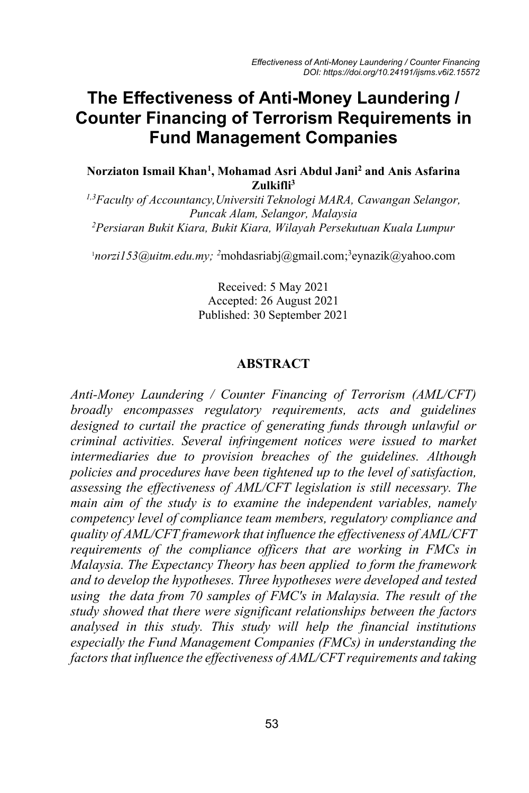# **The Effectiveness of Anti-Money Laundering / Counter Financing of Terrorism Requirements in Fund Management Companies**

#### **Norziaton Ismail Khan1 , Mohamad Asri Abdul Jani2 and Anis Asfarina Zulkifli3**

*1,3Faculty of Accountancy,Universiti Teknologi MARA, Cawangan Selangor, Puncak Alam, Selangor, Malaysia 2 Persiaran Bukit Kiara, Bukit Kiara, Wilayah Persekutuan Kuala Lumpur*

<sup>1</sup>norzi153@uitm.edu.my; <sup>2</sup>mohdasriabj@gmail.com;<sup>3</sup>eynazik@yahoo.com

Received: 5 May 2021 Accepted: 26 August 2021 Published: 30 September 2021

#### **ABSTRACT**

*Anti-Money Laundering / Counter Financing of Terrorism (AML/CFT) broadly encompasses regulatory requirements, acts and guidelines designed to curtail the practice of generating funds through unlawful or criminal activities. Several infringement notices were issued to market intermediaries due to provision breaches of the guidelines. Although policies and procedures have been tightened up to the level of satisfaction, assessing the effectiveness of AML/CFT legislation is still necessary. The main aim of the study is to examine the independent variables, namely competency level of compliance team members, regulatory compliance and quality of AML/CFT framework that influence the effectiveness of AML/CFT requirements of the compliance officers that are working in FMCs in Malaysia. The Expectancy Theory has been applied to form the framework and to develop the hypotheses. Three hypotheses were developed and tested using the data from 70 samples of FMC's in Malaysia. The result of the study showed that there were significant relationships between the factors analysed in this study. This study will help the financial institutions especially the Fund Management Companies (FMCs) in understanding the factors that influence the effectiveness of AML/CFT requirements and taking*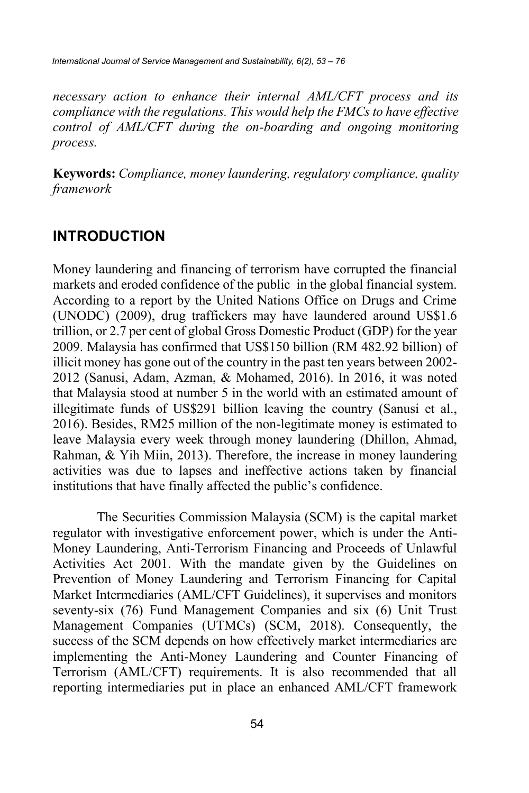*necessary action to enhance their internal AML/CFT process and its compliance with the regulations. This would help the FMCs to have effective control of AML/CFT during the on-boarding and ongoing monitoring process.*

**Keywords:** *Compliance, money laundering, regulatory compliance, quality framework*

## **INTRODUCTION**

Money laundering and financing of terrorism have corrupted the financial markets and eroded confidence of the public in the global financial system. According to a report by the United Nations Office on Drugs and Crime (UNODC) (2009), drug traffickers may have laundered around US\$1.6 trillion, or 2.7 per cent of global Gross Domestic Product (GDP) for the year 2009. Malaysia has confirmed that US\$150 billion (RM 482.92 billion) of illicit money has gone out of the country in the past ten years between 2002- 2012 (Sanusi, Adam, Azman, & Mohamed, 2016). In 2016, it was noted that Malaysia stood at number 5 in the world with an estimated amount of illegitimate funds of US\$291 billion leaving the country (Sanusi et al., 2016). Besides, RM25 million of the non-legitimate money is estimated to leave Malaysia every week through money laundering (Dhillon, Ahmad, Rahman, & Yih Miin, 2013). Therefore, the increase in money laundering activities was due to lapses and ineffective actions taken by financial institutions that have finally affected the public's confidence.

The Securities Commission Malaysia (SCM) is the capital market regulator with investigative enforcement power, which is under the Anti-Money Laundering, Anti-Terrorism Financing and Proceeds of Unlawful Activities Act 2001. With the mandate given by the Guidelines on Prevention of Money Laundering and Terrorism Financing for Capital Market Intermediaries (AML/CFT Guidelines), it supervises and monitors seventy-six (76) Fund Management Companies and six (6) Unit Trust Management Companies (UTMCs) (SCM, 2018). Consequently, the success of the SCM depends on how effectively market intermediaries are implementing the Anti-Money Laundering and Counter Financing of Terrorism (AML/CFT) requirements. It is also recommended that all reporting intermediaries put in place an enhanced AML/CFT framework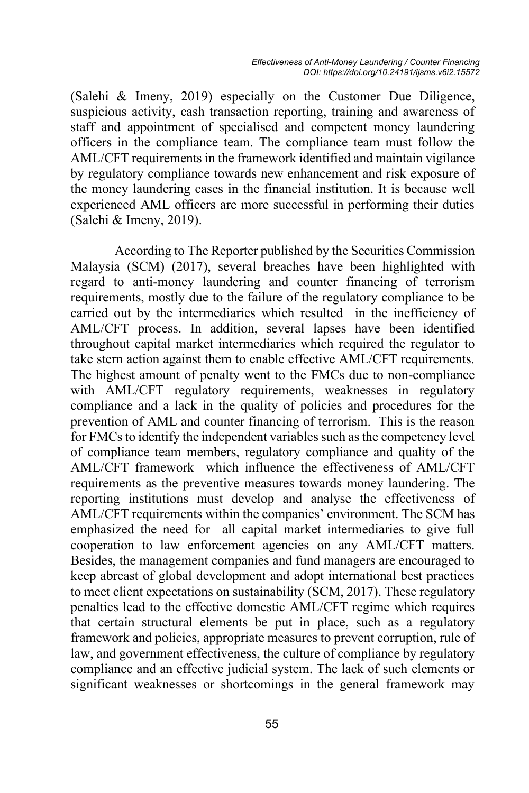(Salehi & Imeny, 2019) especially on the Customer Due Diligence, suspicious activity, cash transaction reporting, training and awareness of staff and appointment of specialised and competent money laundering officers in the compliance team. The compliance team must follow the AML/CFT requirements in the framework identified and maintain vigilance by regulatory compliance towards new enhancement and risk exposure of the money laundering cases in the financial institution. It is because well experienced AML officers are more successful in performing their duties (Salehi & Imeny, 2019).

According to The Reporter published by the Securities Commission Malaysia (SCM) (2017), several breaches have been highlighted with regard to anti-money laundering and counter financing of terrorism requirements, mostly due to the failure of the regulatory compliance to be carried out by the intermediaries which resulted in the inefficiency of AML/CFT process. In addition, several lapses have been identified throughout capital market intermediaries which required the regulator to take stern action against them to enable effective AML/CFT requirements. The highest amount of penalty went to the FMCs due to non-compliance with AML/CFT regulatory requirements, weaknesses in regulatory compliance and a lack in the quality of policies and procedures for the prevention of AML and counter financing of terrorism. This is the reason for FMCs to identify the independent variables such as the competency level of compliance team members, regulatory compliance and quality of the AML/CFT framework which influence the effectiveness of AML/CFT requirements as the preventive measures towards money laundering. The reporting institutions must develop and analyse the effectiveness of AML/CFT requirements within the companies' environment. The SCM has emphasized the need for all capital market intermediaries to give full cooperation to law enforcement agencies on any AML/CFT matters. Besides, the management companies and fund managers are encouraged to keep abreast of global development and adopt international best practices to meet client expectations on sustainability (SCM, 2017). These regulatory penalties lead to the effective domestic AML/CFT regime which requires that certain structural elements be put in place, such as a regulatory framework and policies, appropriate measures to prevent corruption, rule of law, and government effectiveness, the culture of compliance by regulatory compliance and an effective judicial system. The lack of such elements or significant weaknesses or shortcomings in the general framework may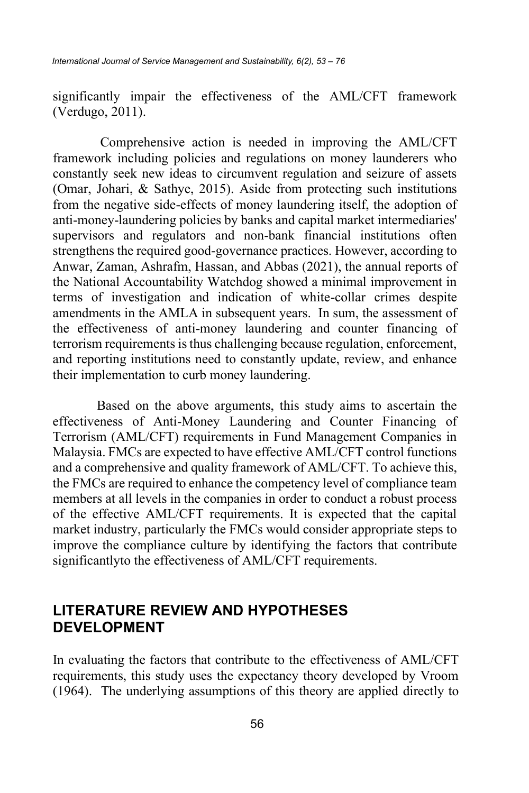significantly impair the effectiveness of the AML/CFT framework (Verdugo, 2011).

Comprehensive action is needed in improving the AML/CFT framework including policies and regulations on money launderers who constantly seek new ideas to circumvent regulation and seizure of assets (Omar, Johari, & Sathye, 2015). Aside from protecting such institutions from the negative side-effects of money laundering itself, the adoption of anti-money-laundering policies by banks and capital market intermediaries' supervisors and regulators and non-bank financial institutions often strengthens the required good-governance practices. However, according to Anwar, Zaman, Ashrafm, Hassan, and Abbas (2021), the annual reports of the National Accountability Watchdog showed a minimal improvement in terms of investigation and indication of white-collar crimes despite amendments in the AMLA in subsequent years. In sum, the assessment of the effectiveness of anti-money laundering and counter financing of terrorism requirements is thus challenging because regulation, enforcement, and reporting institutions need to constantly update, review, and enhance their implementation to curb money laundering.

Based on the above arguments, this study aims to ascertain the effectiveness of Anti-Money Laundering and Counter Financing of Terrorism (AML/CFT) requirements in Fund Management Companies in Malaysia. FMCs are expected to have effective AML/CFT control functions and a comprehensive and quality framework of AML/CFT. To achieve this, the FMCs are required to enhance the competency level of compliance team members at all levels in the companies in order to conduct a robust process of the effective AML/CFT requirements. It is expected that the capital market industry, particularly the FMCs would consider appropriate steps to improve the compliance culture by identifying the factors that contribute significantlyto the effectiveness of AML/CFT requirements.

### **LITERATURE REVIEW AND HYPOTHESES DEVELOPMENT**

In evaluating the factors that contribute to the effectiveness of AML/CFT requirements, this study uses the expectancy theory developed by Vroom (1964). The underlying assumptions of this theory are applied directly to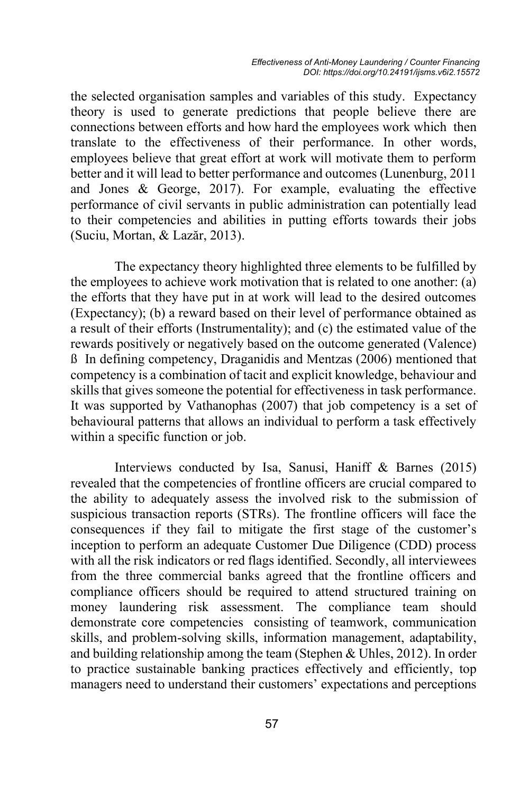the selected organisation samples and variables of this study. Expectancy theory is used to generate predictions that people believe there are connections between efforts and how hard the employees work which then translate to the effectiveness of their performance. In other words, employees believe that great effort at work will motivate them to perform better and it will lead to better performance and outcomes (Lunenburg, 2011 and Jones & George, 2017). For example, evaluating the effective performance of civil servants in public administration can potentially lead to their competencies and abilities in putting efforts towards their jobs (Suciu, Mortan, & Lazăr, 2013).

The expectancy theory highlighted three elements to be fulfilled by the employees to achieve work motivation that is related to one another: (a) the efforts that they have put in at work will lead to the desired outcomes (Expectancy); (b) a reward based on their level of performance obtained as a result of their efforts (Instrumentality); and (c) the estimated value of the rewards positively or negatively based on the outcome generated (Valence) ß In defining competency, Draganidis and Mentzas (2006) mentioned that competency is a combination of tacit and explicit knowledge, behaviour and skills that gives someone the potential for effectiveness in task performance. It was supported by Vathanophas (2007) that job competency is a set of behavioural patterns that allows an individual to perform a task effectively within a specific function or job.

Interviews conducted by Isa, Sanusi, Haniff & Barnes (2015) revealed that the competencies of frontline officers are crucial compared to the ability to adequately assess the involved risk to the submission of suspicious transaction reports (STRs). The frontline officers will face the consequences if they fail to mitigate the first stage of the customer's inception to perform an adequate Customer Due Diligence (CDD) process with all the risk indicators or red flags identified. Secondly, all interviewees from the three commercial banks agreed that the frontline officers and compliance officers should be required to attend structured training on money laundering risk assessment. The compliance team should demonstrate core competencies consisting of teamwork, communication skills, and problem-solving skills, information management, adaptability, and building relationship among the team (Stephen & Uhles, 2012). In order to practice sustainable banking practices effectively and efficiently, top managers need to understand their customers' expectations and perceptions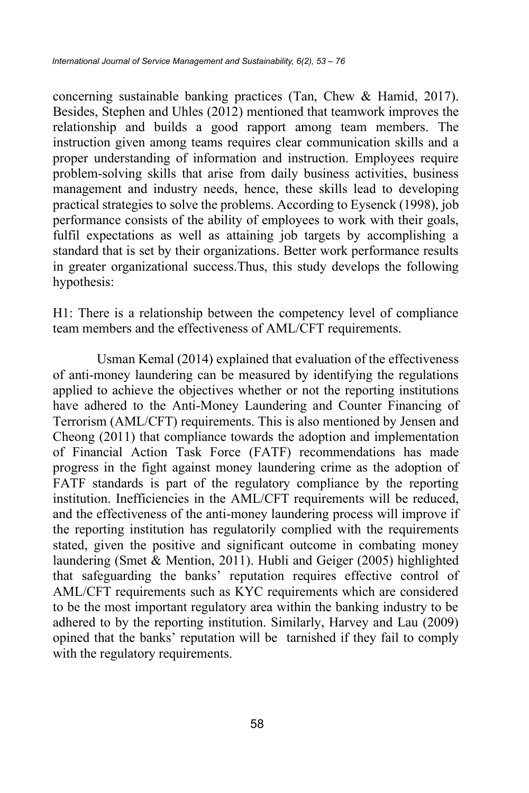concerning sustainable banking practices (Tan, Chew & Hamid, 2017). Besides, Stephen and Uhles (2012) mentioned that teamwork improves the relationship and builds a good rapport among team members. The instruction given among teams requires clear communication skills and a proper understanding of information and instruction. Employees require problem-solving skills that arise from daily business activities, business management and industry needs, hence, these skills lead to developing practical strategies to solve the problems. According to Eysenck (1998), job performance consists of the ability of employees to work with their goals, fulfil expectations as well as attaining job targets by accomplishing a standard that is set by their organizations. Better work performance results in greater organizational success.Thus, this study develops the following hypothesis:

H1: There is a relationship between the competency level of compliance team members and the effectiveness of AML/CFT requirements.

Usman Kemal (2014) explained that evaluation of the effectiveness of anti-money laundering can be measured by identifying the regulations applied to achieve the objectives whether or not the reporting institutions have adhered to the Anti-Money Laundering and Counter Financing of Terrorism (AML/CFT) requirements. This is also mentioned by Jensen and Cheong (2011) that compliance towards the adoption and implementation of Financial Action Task Force (FATF) recommendations has made progress in the fight against money laundering crime as the adoption of FATF standards is part of the regulatory compliance by the reporting institution. Inefficiencies in the AML/CFT requirements will be reduced, and the effectiveness of the anti-money laundering process will improve if the reporting institution has regulatorily complied with the requirements stated, given the positive and significant outcome in combating money laundering (Smet & Mention, 2011). Hubli and Geiger (2005) highlighted that safeguarding the banks' reputation requires effective control of AML/CFT requirements such as KYC requirements which are considered to be the most important regulatory area within the banking industry to be adhered to by the reporting institution. Similarly, Harvey and Lau (2009) opined that the banks' reputation will be tarnished if they fail to comply with the regulatory requirements.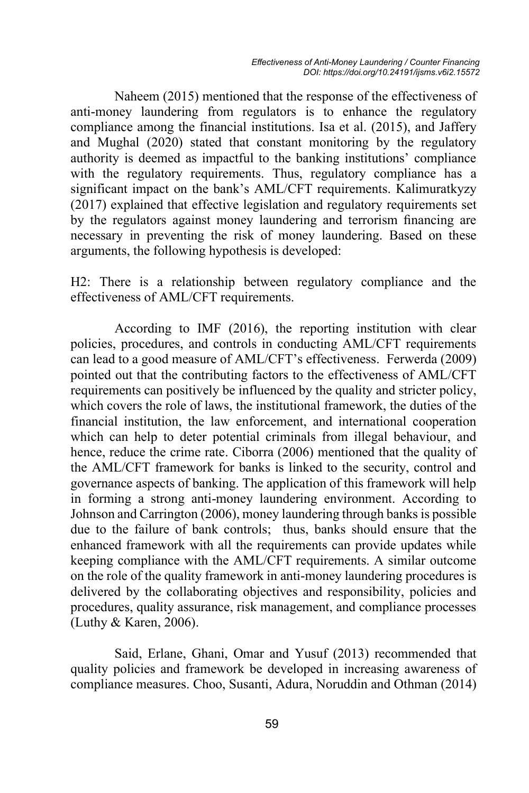Naheem (2015) mentioned that the response of the effectiveness of anti-money laundering from regulators is to enhance the regulatory compliance among the financial institutions. Isa et al. (2015), and Jaffery and Mughal (2020) stated that constant monitoring by the regulatory authority is deemed as impactful to the banking institutions' compliance with the regulatory requirements. Thus, regulatory compliance has a significant impact on the bank's AML/CFT requirements. Kalimuratkyzy (2017) explained that effective legislation and regulatory requirements set by the regulators against money laundering and terrorism financing are necessary in preventing the risk of money laundering. Based on these arguments, the following hypothesis is developed:

H2: There is a relationship between regulatory compliance and the effectiveness of AML/CFT requirements.

According to IMF (2016), the reporting institution with clear policies, procedures, and controls in conducting AML/CFT requirements can lead to a good measure of AML/CFT's effectiveness. Ferwerda (2009) pointed out that the contributing factors to the effectiveness of AML/CFT requirements can positively be influenced by the quality and stricter policy, which covers the role of laws, the institutional framework, the duties of the financial institution, the law enforcement, and international cooperation which can help to deter potential criminals from illegal behaviour, and hence, reduce the crime rate. Ciborra (2006) mentioned that the quality of the AML/CFT framework for banks is linked to the security, control and governance aspects of banking. The application of this framework will help in forming a strong anti-money laundering environment. According to Johnson and Carrington (2006), money laundering through banks is possible due to the failure of bank controls; thus, banks should ensure that the enhanced framework with all the requirements can provide updates while keeping compliance with the AML/CFT requirements. A similar outcome on the role of the quality framework in anti-money laundering procedures is delivered by the collaborating objectives and responsibility, policies and procedures, quality assurance, risk management, and compliance processes (Luthy & Karen, 2006).

Said, Erlane, Ghani, Omar and Yusuf (2013) recommended that quality policies and framework be developed in increasing awareness of compliance measures. Choo, Susanti, Adura, Noruddin and Othman (2014)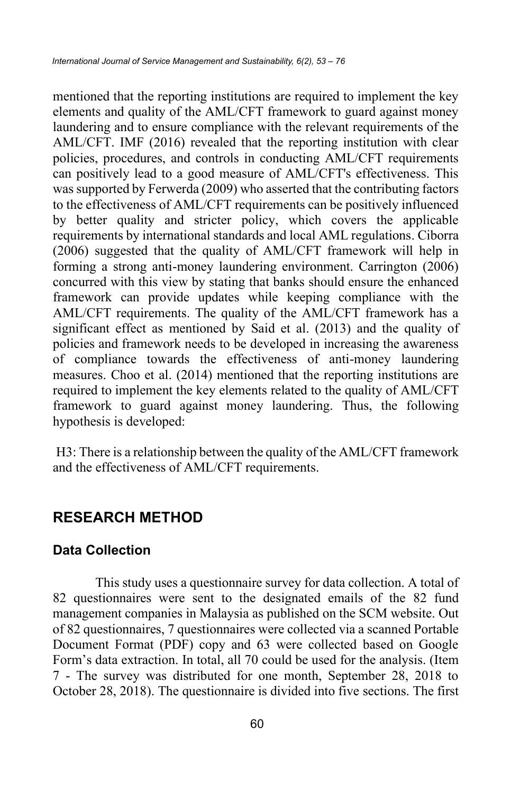mentioned that the reporting institutions are required to implement the key elements and quality of the AML/CFT framework to guard against money laundering and to ensure compliance with the relevant requirements of the AML/CFT. IMF (2016) revealed that the reporting institution with clear policies, procedures, and controls in conducting AML/CFT requirements can positively lead to a good measure of AML/CFT's effectiveness. This was supported by Ferwerda (2009) who asserted that the contributing factors to the effectiveness of AML/CFT requirements can be positively influenced by better quality and stricter policy, which covers the applicable requirements by international standards and local AML regulations. Ciborra (2006) suggested that the quality of AML/CFT framework will help in forming a strong anti-money laundering environment. Carrington (2006) concurred with this view by stating that banks should ensure the enhanced framework can provide updates while keeping compliance with the AML/CFT requirements. The quality of the AML/CFT framework has a significant effect as mentioned by Said et al. (2013) and the quality of policies and framework needs to be developed in increasing the awareness of compliance towards the effectiveness of anti-money laundering measures. Choo et al. (2014) mentioned that the reporting institutions are required to implement the key elements related to the quality of AML/CFT framework to guard against money laundering. Thus, the following hypothesis is developed:

H3: There is a relationship between the quality of the AML/CFT framework and the effectiveness of AML/CFT requirements.

## **RESEARCH METHOD**

#### **Data Collection**

This study uses a questionnaire survey for data collection. A total of 82 questionnaires were sent to the designated emails of the 82 fund management companies in Malaysia as published on the SCM website. Out of 82 questionnaires, 7 questionnaires were collected via a scanned Portable Document Format (PDF) copy and 63 were collected based on Google Form's data extraction. In total, all 70 could be used for the analysis. (Item 7 - The survey was distributed for one month, September 28, 2018 to October 28, 2018). The questionnaire is divided into five sections. The first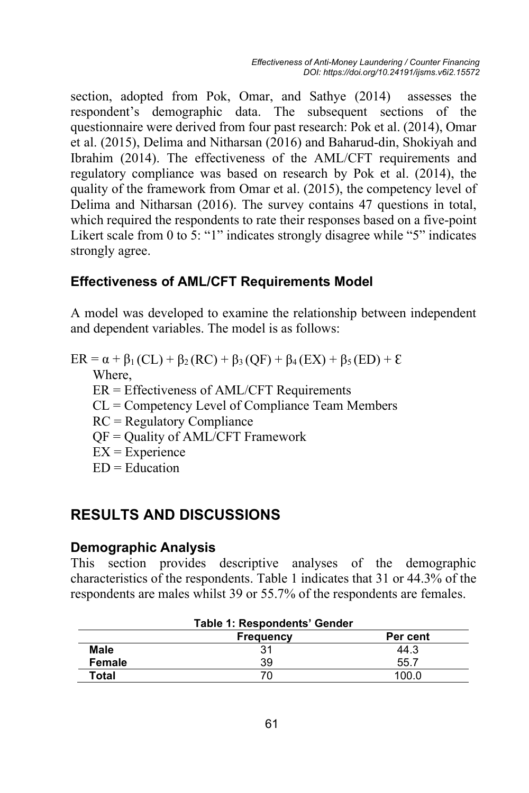section, adopted from Pok, Omar, and Sathye (2014) assesses the respondent's demographic data. The subsequent sections of the questionnaire were derived from four past research: Pok et al. (2014), Omar et al. (2015), Delima and Nitharsan (2016) and Baharud-din, Shokiyah and Ibrahim (2014). The effectiveness of the AML/CFT requirements and regulatory compliance was based on research by Pok et al. (2014), the quality of the framework from Omar et al. (2015), the competency level of Delima and Nitharsan (2016). The survey contains 47 questions in total, which required the respondents to rate their responses based on a five-point Likert scale from 0 to 5: "1" indicates strongly disagree while "5" indicates strongly agree.

#### **Effectiveness of AML/CFT Requirements Model**

A model was developed to examine the relationship between independent and dependent variables. The model is as follows:

 $ER = \alpha + \beta_1 (CL) + \beta_2 (RC) + \beta_3 (QF) + \beta_4 (EX) + \beta_5 (ED) + \epsilon$ 

Where,

ER = Effectiveness of AML/CFT Requirements

- CL = Competency Level of Compliance Team Members
- RC = Regulatory Compliance
- QF = Quality of AML/CFT Framework

 $EX = Experience$ 

 $ED = Education$ 

### **RESULTS AND DISCUSSIONS**

#### **Demographic Analysis**

This section provides descriptive analyses of the demographic characteristics of the respondents. Table 1 indicates that 31 or 44.3% of the respondents are males whilst 39 or 55.7% of the respondents are females.

|                       | Table 1: Respondents' Gender |       |  |  |  |
|-----------------------|------------------------------|-------|--|--|--|
| Per cent<br>Frequency |                              |       |  |  |  |
| <b>Male</b>           |                              | 44.3  |  |  |  |
| Female                | 39                           | 55.7  |  |  |  |
| Total                 | 70                           | 100.0 |  |  |  |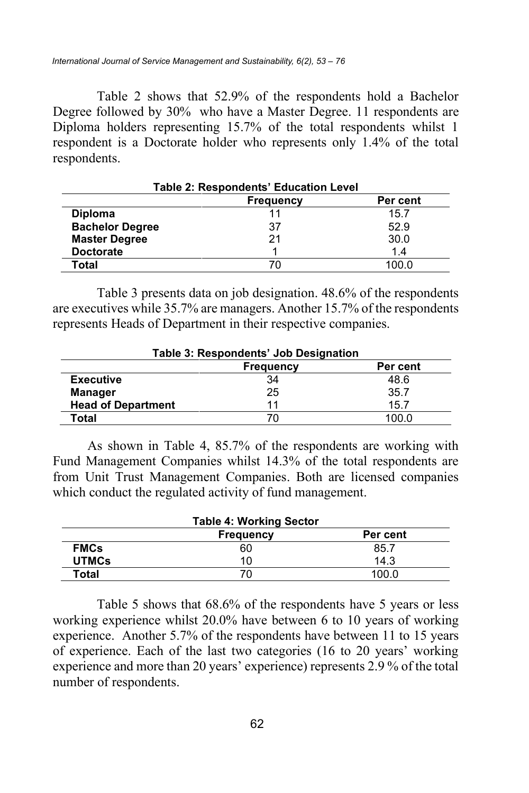Table 2 shows that 52.9% of the respondents hold a Bachelor Degree followed by 30% who have a Master Degree. 11 respondents are Diploma holders representing 15.7% of the total respondents whilst 1 respondent is a Doctorate holder who represents only 1.4% of the total respondents.

| Table 2: Respondents' Education Level |                  |          |  |  |  |  |
|---------------------------------------|------------------|----------|--|--|--|--|
|                                       | <b>Frequency</b> | Per cent |  |  |  |  |
| <b>Diploma</b>                        |                  | 15.7     |  |  |  |  |
| <b>Bachelor Degree</b>                | 37               | 52.9     |  |  |  |  |
| <b>Master Degree</b>                  | 21               | 30.0     |  |  |  |  |
| <b>Doctorate</b>                      |                  | 1.4      |  |  |  |  |
| Total                                 |                  | 100.0    |  |  |  |  |

Table 3 presents data on job designation. 48.6% of the respondents are executives while 35.7% are managers. Another 15.7% of the respondents represents Heads of Department in their respective companies.

| Table 3: Respondents' Job Designation |                  |          |  |  |  |
|---------------------------------------|------------------|----------|--|--|--|
|                                       | <b>Frequency</b> | Per cent |  |  |  |
| <b>Executive</b>                      | 34               | 48.6     |  |  |  |
| <b>Manager</b>                        | 25               | 35.7     |  |  |  |
| <b>Head of Department</b>             | 11               | 15.7     |  |  |  |
| Total                                 | 70               | 100.0    |  |  |  |

As shown in Table 4, 85.7% of the respondents are working with Fund Management Companies whilst 14.3% of the total respondents are from Unit Trust Management Companies. Both are licensed companies which conduct the regulated activity of fund management.

|                              | <b>Table 4: Working Sector</b> |       |  |  |  |
|------------------------------|--------------------------------|-------|--|--|--|
| Per cent<br><b>Frequency</b> |                                |       |  |  |  |
| <b>FMCs</b>                  | 60                             | 85.7  |  |  |  |
| <b>UTMCs</b>                 | 10                             | 14.3  |  |  |  |
| Total                        |                                | 100 በ |  |  |  |

Table 5 shows that 68.6% of the respondents have 5 years or less working experience whilst 20.0% have between 6 to 10 years of working experience. Another 5.7% of the respondents have between 11 to 15 years of experience. Each of the last two categories (16 to 20 years' working experience and more than 20 years' experience) represents 2.9 % of the total number of respondents.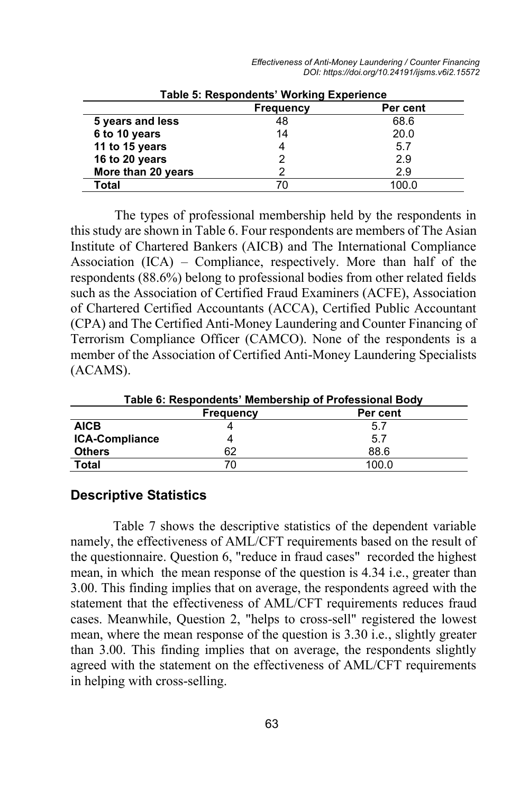| Effectiveness of Anti-Money Laundering / Counter Financing |
|------------------------------------------------------------|
| DOI: https://doi.org/10.24191/ijsms.v6i2.15572             |

| Table of Incopollacing Trolling Experience |                  |          |  |  |  |
|--------------------------------------------|------------------|----------|--|--|--|
|                                            | <b>Frequency</b> | Per cent |  |  |  |
| 5 years and less                           | 48               | 68.6     |  |  |  |
| 6 to 10 years                              | 14               | 20.0     |  |  |  |
| 11 to 15 years                             | 4                | 5.7      |  |  |  |
| 16 to 20 years                             |                  | 2.9      |  |  |  |
| More than 20 years                         |                  | 2.9      |  |  |  |
| Total                                      | 70               | 100.0    |  |  |  |

**Table 5: Respondents' Working Experience** 

The types of professional membership held by the respondents in this study are shown in Table 6. Four respondents are members of The Asian Institute of Chartered Bankers (AICB) and The International Compliance Association (ICA) – Compliance, respectively. More than half of the respondents (88.6%) belong to professional bodies from other related fields such as the Association of Certified Fraud Examiners (ACFE), Association of Chartered Certified Accountants (ACCA), Certified Public Accountant (CPA) and The Certified Anti-Money Laundering and Counter Financing of Terrorism Compliance Officer (CAMCO). None of the respondents is a member of the Association of Certified Anti-Money Laundering Specialists (ACAMS).

**Table 6: Respondents' Membership of Professional Body**

|                       | Frequency | Per cent |  |  |  |
|-----------------------|-----------|----------|--|--|--|
| <b>AICB</b>           |           | 5.7      |  |  |  |
| <b>ICA-Compliance</b> |           | 5.7      |  |  |  |
| <b>Others</b>         | 62        | 88.6     |  |  |  |
| <b>Total</b>          | Ί         | 100.0    |  |  |  |
|                       |           |          |  |  |  |

#### **Descriptive Statistics**

Table 7 shows the descriptive statistics of the dependent variable namely, the effectiveness of AML/CFT requirements based on the result of the questionnaire. Question 6, "reduce in fraud cases" recorded the highest mean, in which the mean response of the question is 4.34 i.e., greater than 3.00. This finding implies that on average, the respondents agreed with the statement that the effectiveness of AML/CFT requirements reduces fraud cases. Meanwhile, Question 2, "helps to cross-sell" registered the lowest mean, where the mean response of the question is 3.30 i.e., slightly greater than 3.00. This finding implies that on average, the respondents slightly agreed with the statement on the effectiveness of AML/CFT requirements in helping with cross-selling.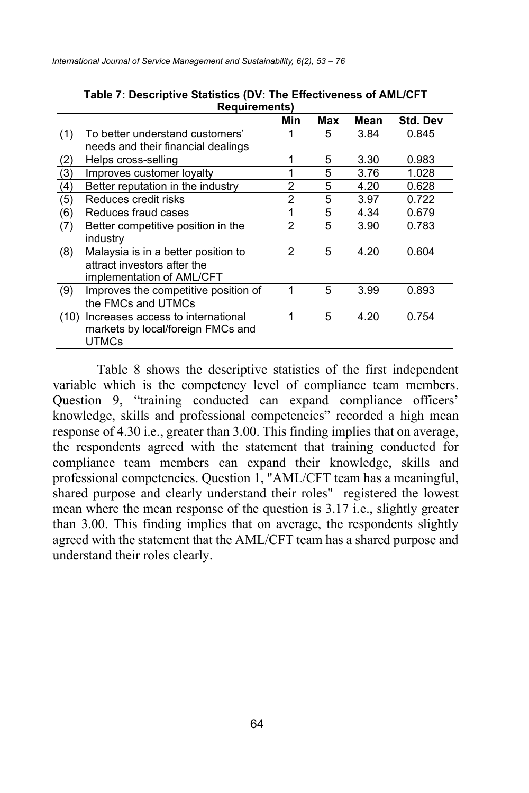|      | <b>Requirements</b>                                                                             |     |     |      |                 |  |  |  |
|------|-------------------------------------------------------------------------------------------------|-----|-----|------|-----------------|--|--|--|
|      |                                                                                                 | Min | Max | Mean | <b>Std. Dev</b> |  |  |  |
| (1)  | To better understand customers'<br>needs and their financial dealings                           |     | 5   | 3.84 | 0.845           |  |  |  |
| (2)  | Helps cross-selling                                                                             |     | 5   | 3.30 | 0.983           |  |  |  |
| (3)  | Improves customer loyalty                                                                       |     | 5   | 3.76 | 1.028           |  |  |  |
| (4)  | Better reputation in the industry                                                               | 2   | 5   | 4.20 | 0.628           |  |  |  |
| (5)  | Reduces credit risks                                                                            | 2   | 5   | 3.97 | 0.722           |  |  |  |
| (6)  | Reduces fraud cases                                                                             | 1   | 5   | 4.34 | 0.679           |  |  |  |
| (7)  | Better competitive position in the<br>industry                                                  | 2   | 5   | 3.90 | 0.783           |  |  |  |
| (8)  | Malaysia is in a better position to<br>attract investors after the<br>implementation of AML/CFT | 2   | 5   | 4.20 | 0.604           |  |  |  |
| (9)  | Improves the competitive position of<br>the FMCs and UTMCs                                      | 1   | 5   | 3.99 | 0.893           |  |  |  |
| (10) | Increases access to international<br>markets by local/foreign FMCs and<br><b>UTMCs</b>          | 1   | 5   | 4.20 | 0.754           |  |  |  |

**Table 7: Descriptive Statistics (DV: The Effectiveness of AML/CFT Requirements)**

Table 8 shows the descriptive statistics of the first independent variable which is the competency level of compliance team members. Question 9, "training conducted can expand compliance officers' knowledge, skills and professional competencies" recorded a high mean response of 4.30 i.e., greater than 3.00. This finding implies that on average, the respondents agreed with the statement that training conducted for compliance team members can expand their knowledge, skills and professional competencies. Question 1, "AML/CFT team has a meaningful, shared purpose and clearly understand their roles" registered the lowest mean where the mean response of the question is 3.17 i.e., slightly greater than 3.00. This finding implies that on average, the respondents slightly agreed with the statement that the AML/CFT team has a shared purpose and understand their roles clearly.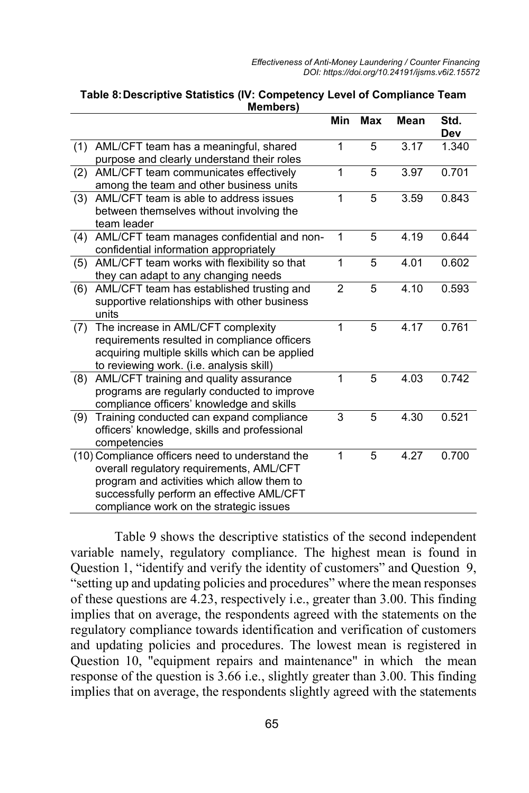|     |                                                                                                                                                                                                                                   | Min         | <b>Max</b> | Mean | Std.<br>Dev |
|-----|-----------------------------------------------------------------------------------------------------------------------------------------------------------------------------------------------------------------------------------|-------------|------------|------|-------------|
| (1) | AML/CFT team has a meaningful, shared<br>purpose and clearly understand their roles                                                                                                                                               | 1           | 5          | 3.17 | 1.340       |
| (2) | AML/CFT team communicates effectively<br>among the team and other business units                                                                                                                                                  | 1           | 5          | 3.97 | 0.701       |
| (3) | AML/CFT team is able to address issues<br>between themselves without involving the<br>team leader                                                                                                                                 | 1           | 5          | 3.59 | 0.843       |
| (4) | AML/CFT team manages confidential and non-<br>confidential information appropriately                                                                                                                                              | $\mathbf 1$ | 5          | 4.19 | 0.644       |
| (5) | AML/CFT team works with flexibility so that<br>they can adapt to any changing needs                                                                                                                                               | 1           | 5          | 4.01 | 0.602       |
| (6) | AML/CFT team has established trusting and<br>supportive relationships with other business<br>units                                                                                                                                | 2           | 5          | 4.10 | 0.593       |
| (7) | The increase in AML/CFT complexity<br>requirements resulted in compliance officers<br>acquiring multiple skills which can be applied<br>to reviewing work. (i.e. analysis skill)                                                  | 1           | 5          | 4.17 | 0.761       |
| (8) | AML/CFT training and quality assurance<br>programs are regularly conducted to improve<br>compliance officers' knowledge and skills                                                                                                | 1           | 5          | 4.03 | 0.742       |
| (9) | Training conducted can expand compliance<br>officers' knowledge, skills and professional<br>competencies                                                                                                                          | 3           | 5          | 4.30 | 0.521       |
|     | (10) Compliance officers need to understand the<br>overall regulatory requirements, AML/CFT<br>program and activities which allow them to<br>successfully perform an effective AML/CFT<br>compliance work on the strategic issues | 1           | 5          | 4.27 | 0.700       |

#### **Table 8:Descriptive Statistics (IV: Competency Level of Compliance Team Members)**

Table 9 shows the descriptive statistics of the second independent variable namely, regulatory compliance. The highest mean is found in Question 1, "identify and verify the identity of customers" and Question 9, "setting up and updating policies and procedures" where the mean responses of these questions are 4.23, respectively i.e., greater than 3.00. This finding implies that on average, the respondents agreed with the statements on the regulatory compliance towards identification and verification of customers and updating policies and procedures. The lowest mean is registered in Question 10, "equipment repairs and maintenance" in which the mean response of the question is 3.66 i.e., slightly greater than 3.00. This finding implies that on average, the respondents slightly agreed with the statements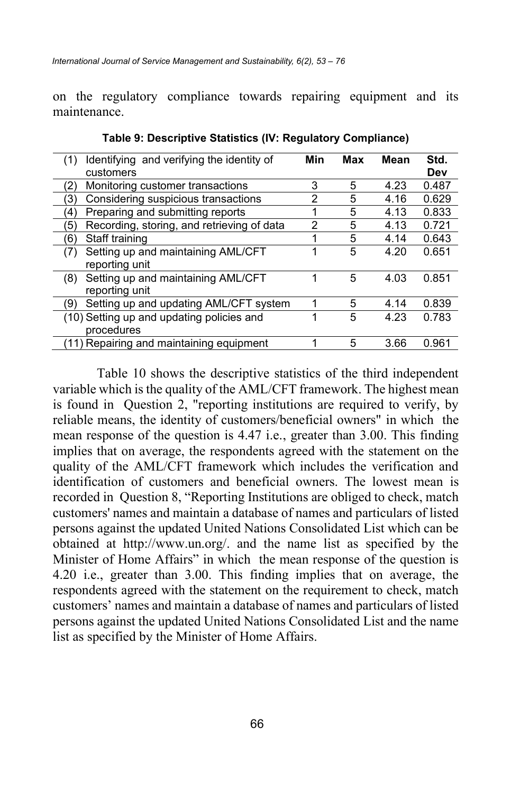on the regulatory compliance towards repairing equipment and its maintenance.

| Identifying and verifying the identity of<br>(1) | Min | Max | Mean | Std.  |
|--------------------------------------------------|-----|-----|------|-------|
| customers                                        |     |     |      | Dev   |
| Monitoring customer transactions<br>2١           | 3   | 5   | 4.23 | 0.487 |
| Considering suspicious transactions<br>3)        | 2   | 5   | 4.16 | 0.629 |
| Preparing and submitting reports<br>4            | 1   | 5   | 4.13 | 0.833 |
| Recording, storing, and retrieving of data<br>5  | 2   | 5   | 4.13 | 0.721 |
| Staff training<br>6                              | 1   | 5   | 4.14 | 0.643 |
| Setting up and maintaining AML/CFT<br>(7)        | 1   | 5   | 4.20 | 0.651 |
| reporting unit                                   |     |     |      |       |
| Setting up and maintaining AML/CFT<br>(8)        |     | 5   | 4.03 | 0.851 |
| reporting unit                                   |     |     |      |       |
| Setting up and updating AML/CFT system<br>้9)    | 1   | 5   | 4.14 | 0.839 |
| (10) Setting up and updating policies and        | 1   | 5   | 4.23 | 0.783 |
| procedures                                       |     |     |      |       |
| 11) Repairing and maintaining equipment          |     | 5   | 3.66 | 0.961 |

**Table 9: Descriptive Statistics (IV: Regulatory Compliance)**

Table 10 shows the descriptive statistics of the third independent variable which is the quality of the AML/CFT framework. The highest mean is found in Question 2, "reporting institutions are required to verify, by reliable means, the identity of customers/beneficial owners" in which the mean response of the question is 4.47 i.e., greater than 3.00. This finding implies that on average, the respondents agreed with the statement on the quality of the AML/CFT framework which includes the verification and identification of customers and beneficial owners. The lowest mean is recorded in Question 8, "Reporting Institutions are obliged to check, match customers' names and maintain a database of names and particulars of listed persons against the updated United Nations Consolidated List which can be obtained at http://www.un.org/. and the name list as specified by the Minister of Home Affairs" in which the mean response of the question is 4.20 i.e., greater than 3.00. This finding implies that on average, the respondents agreed with the statement on the requirement to check, match customers' names and maintain a database of names and particulars of listed persons against the updated United Nations Consolidated List and the name list as specified by the Minister of Home Affairs.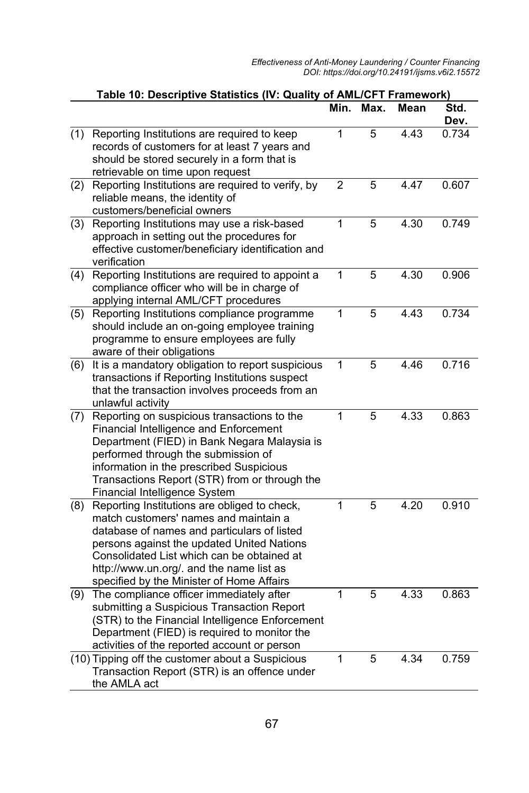|     |                                                                                                                                                                                                                                                                                                                           | Min.           | Max. | Mean | Std.<br>Dev. |
|-----|---------------------------------------------------------------------------------------------------------------------------------------------------------------------------------------------------------------------------------------------------------------------------------------------------------------------------|----------------|------|------|--------------|
| (1) | Reporting Institutions are required to keep<br>records of customers for at least 7 years and<br>should be stored securely in a form that is<br>retrievable on time upon request                                                                                                                                           | 1              | 5    | 4.43 | 0.734        |
| (2) | Reporting Institutions are required to verify, by<br>reliable means, the identity of<br>customers/beneficial owners                                                                                                                                                                                                       | $\overline{2}$ | 5    | 4.47 | 0.607        |
| (3) | Reporting Institutions may use a risk-based<br>approach in setting out the procedures for<br>effective customer/beneficiary identification and<br>verification                                                                                                                                                            | 1              | 5    | 4.30 | 0.749        |
| (4) | Reporting Institutions are required to appoint a<br>compliance officer who will be in charge of<br>applying internal AML/CFT procedures                                                                                                                                                                                   | 1              | 5    | 4.30 | 0.906        |
| (5) | Reporting Institutions compliance programme<br>should include an on-going employee training<br>programme to ensure employees are fully<br>aware of their obligations                                                                                                                                                      | $\mathbf{1}$   | 5    | 4.43 | 0.734        |
| (6) | It is a mandatory obligation to report suspicious<br>transactions if Reporting Institutions suspect<br>that the transaction involves proceeds from an<br>unlawful activity                                                                                                                                                | 1              | 5    | 4.46 | 0.716        |
| (7) | Reporting on suspicious transactions to the<br>Financial Intelligence and Enforcement<br>Department (FIED) in Bank Negara Malaysia is<br>performed through the submission of<br>information in the prescribed Suspicious<br>Transactions Report (STR) from or through the<br>Financial Intelligence System                | 1              | 5    | 4.33 | 0.863        |
| (8) | Reporting Institutions are obliged to check,<br>match customers' names and maintain a<br>database of names and particulars of listed<br>persons against the updated United Nations<br>Consolidated List which can be obtained at<br>http://www.un.org/. and the name list as<br>specified by the Minister of Home Affairs | 1              | 5    | 4.20 | 0.910        |
| (9) | The compliance officer immediately after<br>submitting a Suspicious Transaction Report<br>(STR) to the Financial Intelligence Enforcement<br>Department (FIED) is required to monitor the<br>activities of the reported account or person                                                                                 | 1              | 5    | 4.33 | 0.863        |
|     | (10) Tipping off the customer about a Suspicious<br>Transaction Report (STR) is an offence under<br>the AMLA act                                                                                                                                                                                                          | 1              | 5    | 4.34 | 0.759        |

### **Table 10: Descriptive Statistics (IV: Quality of AML/CFT Framework)**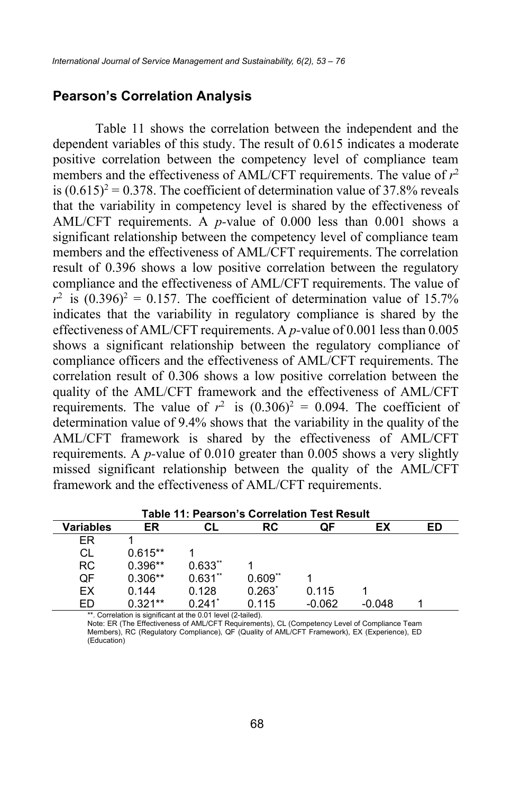#### **Pearson's Correlation Analysis**

Table 11 shows the correlation between the independent and the dependent variables of this study. The result of 0.615 indicates a moderate positive correlation between the competency level of compliance team members and the effectiveness of  $AML/CFT$  requirements. The value of  $r^2$ is  $(0.615)^2 = 0.378$ . The coefficient of determination value of 37.8% reveals that the variability in competency level is shared by the effectiveness of AML/CFT requirements. A *p-*value of 0.000 less than 0.001 shows a significant relationship between the competency level of compliance team members and the effectiveness of AML/CFT requirements. The correlation result of 0.396 shows a low positive correlation between the regulatory compliance and the effectiveness of AML/CFT requirements. The value of  $r^2$  is  $(0.396)^2 = 0.157$ . The coefficient of determination value of 15.7% indicates that the variability in regulatory compliance is shared by the effectiveness of AML/CFT requirements. A *p-*value of 0.001 less than 0.005 shows a significant relationship between the regulatory compliance of compliance officers and the effectiveness of AML/CFT requirements. The correlation result of 0.306 shows a low positive correlation between the quality of the AML/CFT framework and the effectiveness of AML/CFT requirements. The value of  $r^2$  is  $(0.306)^2 = 0.094$ . The coefficient of determination value of 9.4% shows that the variability in the quality of the AML/CFT framework is shared by the effectiveness of AML/CFT requirements. A *p-*value of 0.010 greater than 0.005 shows a very slightly missed significant relationship between the quality of the AML/CFT framework and the effectiveness of AML/CFT requirements.

|                  | Table 11: Pearson's Correlation Test Result |                      |           |          |          |    |  |
|------------------|---------------------------------------------|----------------------|-----------|----------|----------|----|--|
| <b>Variables</b> | ER                                          |                      | RC        | QF       | ЕX       | ED |  |
| ER               |                                             |                      |           |          |          |    |  |
| СL               | $0.615**$                                   |                      |           |          |          |    |  |
| <b>RC</b>        | $0.396**$                                   | $0.633**$            |           |          |          |    |  |
| QF               | $0.306**$                                   | $0.631**$            | $0.609**$ |          |          |    |  |
| EX               | 0.144                                       | 0.128                | $0.263*$  | 0.115    |          |    |  |
| ED               | $0.321**$                                   | $0.241$ <sup>*</sup> | 0.115     | $-0.062$ | $-0.048$ |    |  |

**Table 11: Pearson's Correlation Test Result**

\*\*. Correlation is significant at the 0.01 level (2-tailed).

Note: ER (The Effectiveness of AML/CFT Requirements), CL (Competency Level of Compliance Team Members), RC (Regulatory Compliance), QF (Quality of AML/CFT Framework), EX (Experience), ED (Education)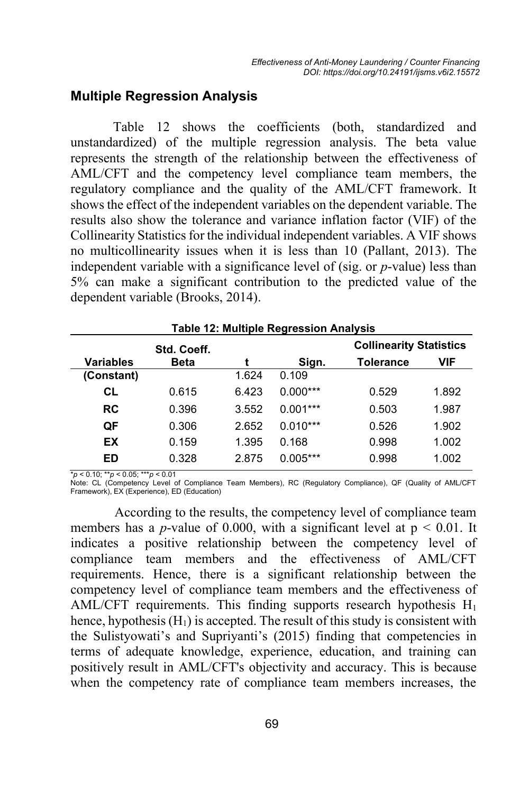#### **Multiple Regression Analysis**

Table 12 shows the coefficients (both, standardized and unstandardized) of the multiple regression analysis. The beta value represents the strength of the relationship between the effectiveness of AML/CFT and the competency level compliance team members, the regulatory compliance and the quality of the AML/CFT framework. It shows the effect of the independent variables on the dependent variable. The results also show the tolerance and variance inflation factor (VIF) of the Collinearity Statistics for the individual independent variables. A VIF shows no multicollinearity issues when it is less than 10 (Pallant, 2013). The independent variable with a significance level of (sig. or *p*-value) less than 5% can make a significant contribution to the predicted value of the dependent variable (Brooks, 2014).

| <b>Table 12: Multiple Regression Analysis</b> |             |       |            |                                |            |
|-----------------------------------------------|-------------|-------|------------|--------------------------------|------------|
|                                               | Std. Coeff. |       |            | <b>Collinearity Statistics</b> |            |
| Variables                                     | <b>Beta</b> | t     | Sign.      | <b>Tolerance</b>               | <b>VIF</b> |
| (Constant)                                    |             | 1.624 | 0.109      |                                |            |
| <b>CL</b>                                     | 0.615       | 6.423 | $0.000***$ | 0.529                          | 1.892      |
| <b>RC</b>                                     | 0.396       | 3.552 | $0.001***$ | 0.503                          | 1.987      |
| QF                                            | 0.306       | 2.652 | $0.010***$ | 0.526                          | 1.902      |
| EX                                            | 0.159       | 1.395 | 0.168      | 0.998                          | 1.002      |
| ED                                            | 0.328       | 2.875 | $0.005***$ | 0.998                          | 1.002      |

\**p* < 0.10; \*\**p* < 0.05; \*\*\**p* < 0.01

Note: CL (Competency Level of Compliance Team Members), RC (Regulatory Compliance), QF (Quality of AML/CFT Framework), EX (Experience), ED (Education)

According to the results, the competency level of compliance team members has a *p*-value of 0.000, with a significant level at  $p < 0.01$ . It indicates a positive relationship between the competency level of compliance team members and the effectiveness of AML/CFT requirements. Hence, there is a significant relationship between the competency level of compliance team members and the effectiveness of AML/CFT requirements. This finding supports research hypothesis  $H_1$ hence, hypothesis  $(H_1)$  is accepted. The result of this study is consistent with the Sulistyowati's and Supriyanti's (2015) finding that competencies in terms of adequate knowledge, experience, education, and training can positively result in AML/CFT's objectivity and accuracy. This is because when the competency rate of compliance team members increases, the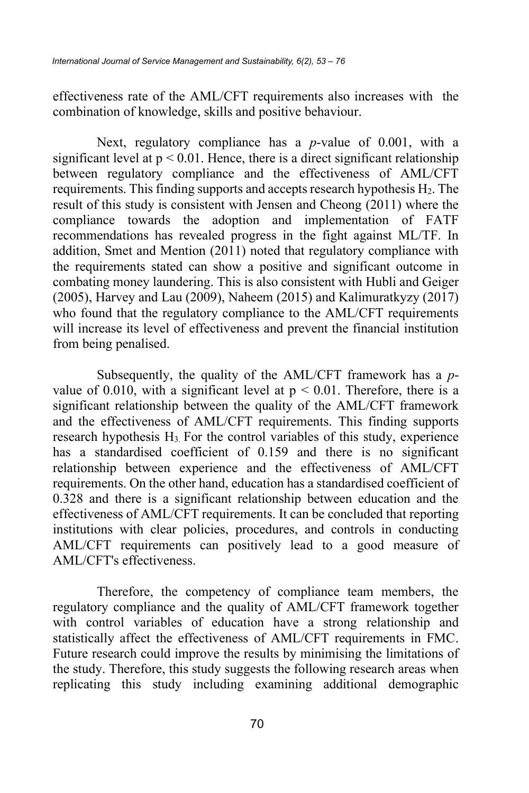effectiveness rate of the AML/CFT requirements also increases with the combination of knowledge, skills and positive behaviour.

Next, regulatory compliance has a *p*-value of 0.001, with a significant level at  $p < 0.01$ . Hence, there is a direct significant relationship between regulatory compliance and the effectiveness of AML/CFT requirements. This finding supports and accepts research hypothesis  $H_2$ . The result of this study is consistent with Jensen and Cheong (2011) where the compliance towards the adoption and implementation of FATF recommendations has revealed progress in the fight against ML/TF. In addition, Smet and Mention (2011) noted that regulatory compliance with the requirements stated can show a positive and significant outcome in combating money laundering. This is also consistent with Hubli and Geiger (2005), Harvey and Lau (2009), Naheem (2015) and Kalimuratkyzy (2017) who found that the regulatory compliance to the AML/CFT requirements will increase its level of effectiveness and prevent the financial institution from being penalised.

Subsequently, the quality of the AML/CFT framework has a *p*value of 0.010, with a significant level at  $p < 0.01$ . Therefore, there is a significant relationship between the quality of the AML/CFT framework and the effectiveness of AML/CFT requirements. This finding supports research hypothesis  $H_3$ . For the control variables of this study, experience has a standardised coefficient of 0.159 and there is no significant relationship between experience and the effectiveness of AML/CFT requirements. On the other hand, education has a standardised coefficient of 0.328 and there is a significant relationship between education and the effectiveness of AML/CFT requirements. It can be concluded that reporting institutions with clear policies, procedures, and controls in conducting AML/CFT requirements can positively lead to a good measure of AML/CFT's effectiveness.

Therefore, the competency of compliance team members, the regulatory compliance and the quality of AML/CFT framework together with control variables of education have a strong relationship and statistically affect the effectiveness of AML/CFT requirements in FMC. Future research could improve the results by minimising the limitations of the study. Therefore, this study suggests the following research areas when replicating this study including examining additional demographic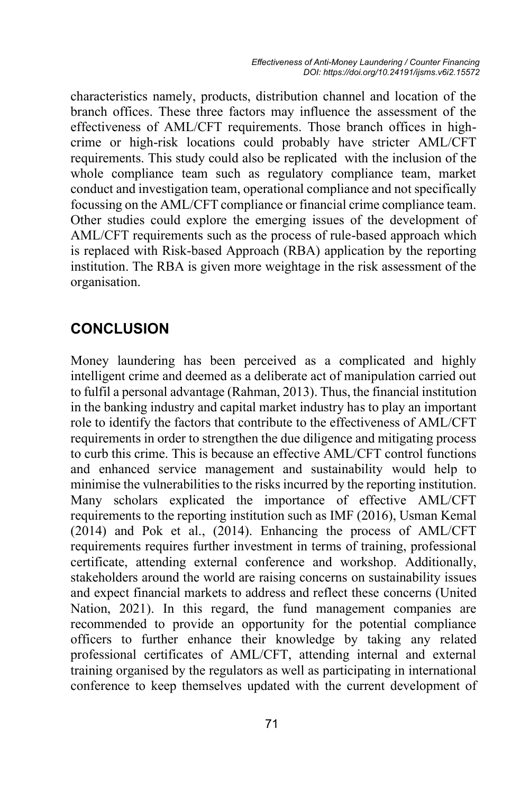characteristics namely, products, distribution channel and location of the branch offices. These three factors may influence the assessment of the effectiveness of AML/CFT requirements. Those branch offices in highcrime or high-risk locations could probably have stricter AML/CFT requirements. This study could also be replicated with the inclusion of the whole compliance team such as regulatory compliance team, market conduct and investigation team, operational compliance and not specifically focussing on the AML/CFT compliance or financial crime compliance team. Other studies could explore the emerging issues of the development of AML/CFT requirements such as the process of rule-based approach which is replaced with Risk-based Approach (RBA) application by the reporting institution. The RBA is given more weightage in the risk assessment of the organisation.

## **CONCLUSION**

Money laundering has been perceived as a complicated and highly intelligent crime and deemed as a deliberate act of manipulation carried out to fulfil a personal advantage (Rahman, 2013). Thus, the financial institution in the banking industry and capital market industry has to play an important role to identify the factors that contribute to the effectiveness of AML/CFT requirements in order to strengthen the due diligence and mitigating process to curb this crime. This is because an effective AML/CFT control functions and enhanced service management and sustainability would help to minimise the vulnerabilities to the risks incurred by the reporting institution. Many scholars explicated the importance of effective AML/CFT requirements to the reporting institution such as IMF (2016), Usman Kemal (2014) and Pok et al., (2014). Enhancing the process of AML/CFT requirements requires further investment in terms of training, professional certificate, attending external conference and workshop. Additionally, stakeholders around the world are raising concerns on sustainability issues and expect financial markets to address and reflect these concerns (United Nation, 2021). In this regard, the fund management companies are recommended to provide an opportunity for the potential compliance officers to further enhance their knowledge by taking any related professional certificates of AML/CFT, attending internal and external training organised by the regulators as well as participating in international conference to keep themselves updated with the current development of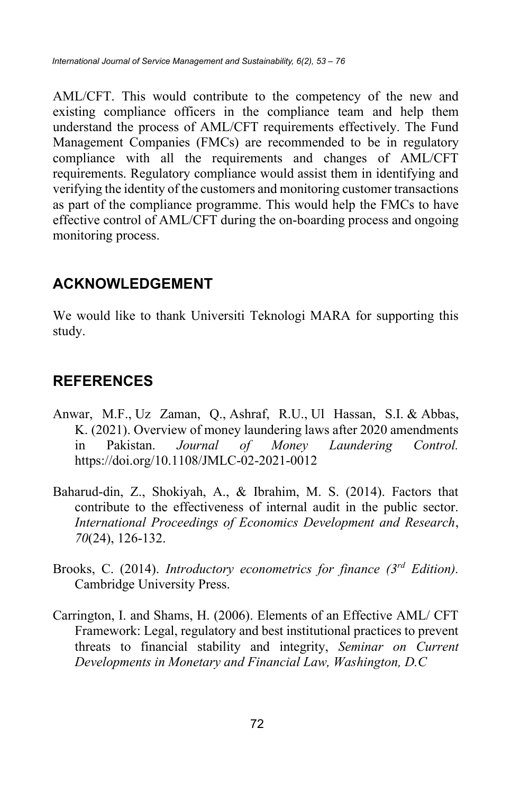AML/CFT. This would contribute to the competency of the new and existing compliance officers in the compliance team and help them understand the process of AML/CFT requirements effectively. The Fund Management Companies (FMCs) are recommended to be in regulatory compliance with all the requirements and changes of AML/CFT requirements. Regulatory compliance would assist them in identifying and verifying the identity of the customers and monitoring customer transactions as part of the compliance programme. This would help the FMCs to have effective control of AML/CFT during the on-boarding process and ongoing monitoring process.

## **ACKNOWLEDGEMENT**

We would like to thank Universiti Teknologi MARA for supporting this study.

## **REFERENCES**

- Anwar, M.F., Uz Zaman, Q., Ashraf, R.U., Ul Hassan, S.I. & Abbas, K. (2021). Overview of money laundering laws after 2020 amendments in Pakistan. *Journal of Money Laundering Control.* https://doi.org/10.1108/JMLC-02-2021-0012
- Baharud-din, Z., Shokiyah, A., & Ibrahim, M. S. (2014). Factors that contribute to the effectiveness of internal audit in the public sector. *International Proceedings of Economics Development and Research*, *70*(24), 126-132.
- Brooks, C. (2014). *Introductory econometrics for finance (3rd Edition).* Cambridge University Press.
- Carrington, I. and Shams, H. (2006). Elements of an Effective AML/ CFT Framework: Legal, regulatory and best institutional practices to prevent threats to financial stability and integrity, *Seminar on Current Developments in Monetary and Financial Law, Washington, D.C*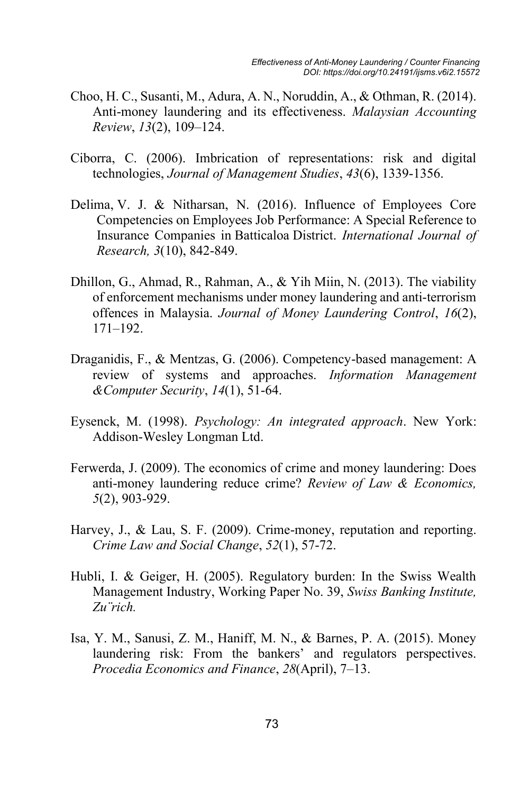- Choo, H. C., Susanti, M., Adura, A. N., Noruddin, A., & Othman, R. (2014). Anti-money laundering and its effectiveness. *Malaysian Accounting Review*, *13*(2), 109–124.
- Ciborra, C. (2006). Imbrication of representations: risk and digital technologies, *Journal of Management Studies*, *43*(6), 1339-1356.
- Delima, V. J. & Nitharsan, N. (2016). Influence of Employees Core Competencies on Employees Job Performance: A Special Reference to Insurance Companies in Batticaloa District. *International Journal of Research, 3*(10), 842-849.
- Dhillon, G., Ahmad, R., Rahman, A., & Yih Miin, N. (2013). The viability of enforcement mechanisms under money laundering and anti‐terrorism offences in Malaysia. *Journal of Money Laundering Control*, *16*(2), 171–192.
- Draganidis, F., & Mentzas, G. (2006). Competency-based management: A review of systems and approaches. *Information Management &Computer Security*, *14*(1), 51-64.
- Eysenck, M. (1998). *Psychology: An integrated approach*. New York: Addison-Wesley Longman Ltd.
- Ferwerda, J. (2009). The economics of crime and money laundering: Does anti-money laundering reduce crime? *Review of Law & Economics, 5*(2), 903-929.
- Harvey, J., & Lau, S. F. (2009). Crime-money, reputation and reporting. *Crime Law and Social Change*, *52*(1), 57-72.
- Hubli, I. & Geiger, H. (2005). Regulatory burden: In the Swiss Wealth Management Industry, Working Paper No. 39, *Swiss Banking Institute, Zu¨rich.*
- Isa, Y. M., Sanusi, Z. M., Haniff, M. N., & Barnes, P. A. (2015). Money laundering risk: From the bankers' and regulators perspectives. *Procedia Economics and Finance*, *28*(April), 7–13.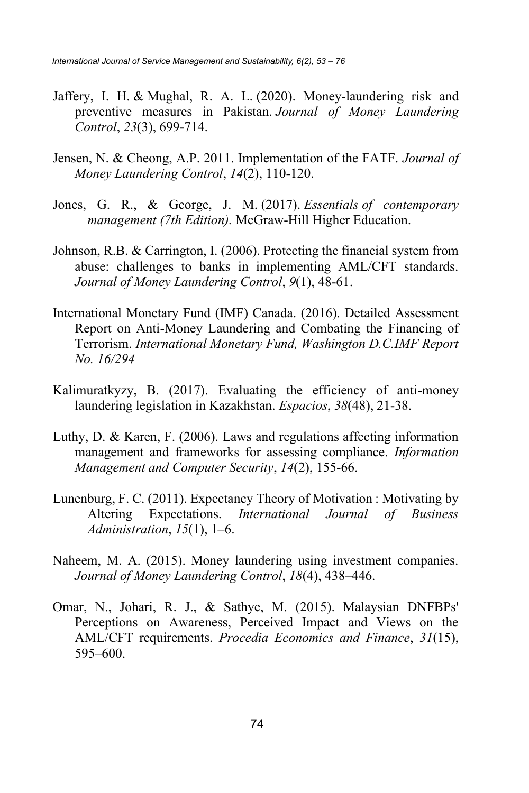- Jaffery, I. H. & Mughal, R. A. L. (2020). Money-laundering risk and preventive measures in Pakistan. *Journal of Money Laundering Control*, *23*(3), 699-714.
- Jensen, N. & Cheong, A.P. 2011. Implementation of the FATF. *Journal of Money Laundering Control*, *14*(2), 110-120.
- Jones, G. R., & George, J. M. (2017). *Essentials of contemporary management (7th Edition).* McGraw-Hill Higher Education.
- Johnson, R.B. & Carrington, I. (2006). Protecting the financial system from abuse: challenges to banks in implementing AML/CFT standards. *Journal of Money Laundering Control*, *9*(1), 48-61.
- International Monetary Fund (IMF) Canada. (2016). Detailed Assessment Report on Anti-Money Laundering and Combating the Financing of Terrorism. *International Monetary Fund, Washington D.C.IMF Report No. 16/294*
- Kalimuratkyzy, B. (2017). Evaluating the efficiency of anti-money laundering legislation in Kazakhstan. *Espacios*, *38*(48), 21-38.
- Luthy, D. & Karen, F. (2006). Laws and regulations affecting information management and frameworks for assessing compliance. *Information Management and Computer Security*, *14*(2), 155-66.
- Lunenburg, F. C. (2011). Expectancy Theory of Motivation : Motivating by Altering Expectations. *International Journal of Business Administration*, *15*(1), 1–6.
- Naheem, M. A. (2015). Money laundering using investment companies. *Journal of Money Laundering Control*, *18*(4), 438–446.
- Omar, N., Johari, R. J., & Sathye, M. (2015). Malaysian DNFBPs' Perceptions on Awareness, Perceived Impact and Views on the AML/CFT requirements. *Procedia Economics and Finance*, *31*(15), 595–600.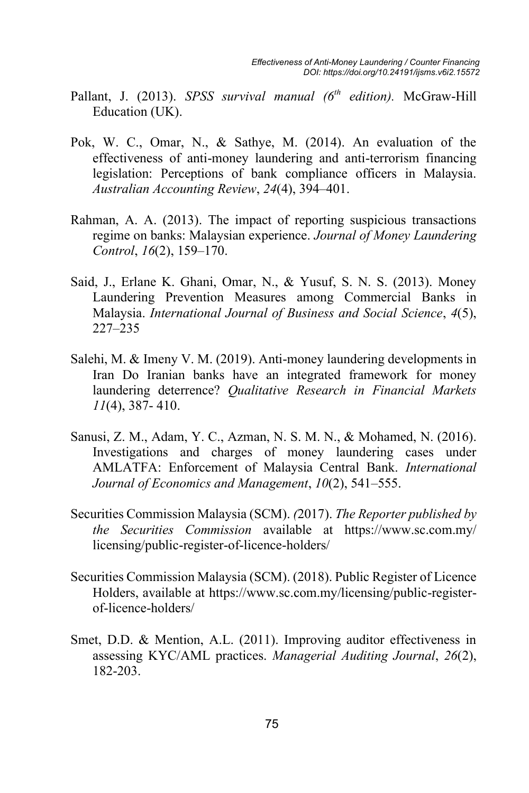- Pallant, J. (2013). *SPSS survival manual (6th edition).* McGraw-Hill Education (UK).
- Pok, W. C., Omar, N., & Sathye, M. (2014). An evaluation of the effectiveness of anti-money laundering and anti-terrorism financing legislation: Perceptions of bank compliance officers in Malaysia. *Australian Accounting Review*, *24*(4), 394–401.
- Rahman, A. A. (2013). The impact of reporting suspicious transactions regime on banks: Malaysian experience. *Journal of Money Laundering Control*, *16*(2), 159–170.
- Said, J., Erlane K. Ghani, Omar, N., & Yusuf, S. N. S. (2013). Money Laundering Prevention Measures among Commercial Banks in Malaysia. *International Journal of Business and Social Science*, *4*(5), 227–235
- Salehi, M. & Imeny V. M. (2019). Anti-money laundering developments in Iran Do Iranian banks have an integrated framework for money laundering deterrence? *Qualitative Research in Financial Markets 11*(4), 387- 410.
- Sanusi, Z. M., Adam, Y. C., Azman, N. S. M. N., & Mohamed, N. (2016). Investigations and charges of money laundering cases under AMLATFA: Enforcement of Malaysia Central Bank. *International Journal of Economics and Management*, *10*(2), 541–555.
- Securities Commission Malaysia (SCM). *(*2017). *The Reporter published by the Securities Commission* available at https://www.sc.com.my/ licensing/public-register-of-licence-holders/
- Securities Commission Malaysia (SCM). (2018). Public Register of Licence Holders, available at https://www.sc.com.my/licensing/public-registerof-licence-holders/
- Smet, D.D. & Mention, A.L. (2011). Improving auditor effectiveness in assessing KYC/AML practices. *Managerial Auditing Journal*, *26*(2), 182-203.